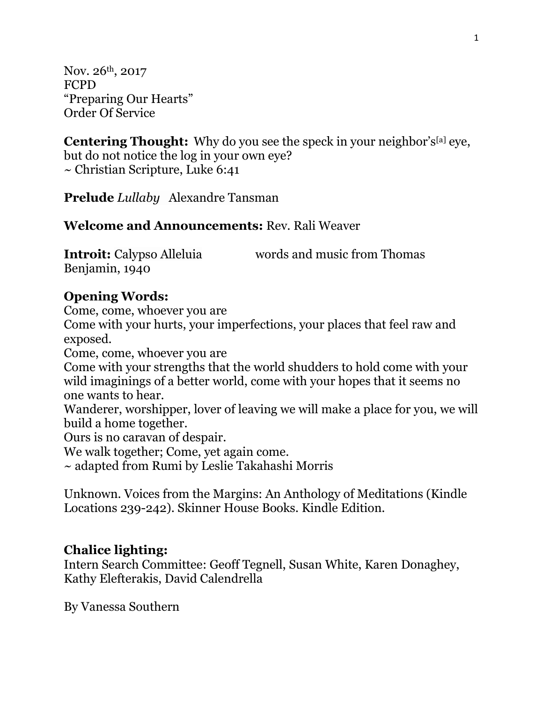Nov. 26th, 2017 FCPD "Preparing Our Hearts" Order Of Service

**Centering Thought:** Why do you see the speck in your neighbor's<sup>[\[a\]](https://www.biblegateway.com/passage/?search=Luke+6%3A41&version=NRSV#fen-NRSV-25180a)</sup> eye, but do not notice the log in your own eye? ~ Christian Scripture, Luke 6:41

**Prelude** *Lullaby* Alexandre Tansman

#### **Welcome and Announcements:** Rev. Rali Weaver

| <b>Introit:</b> Calypso Alleluia | words and music from Thomas |
|----------------------------------|-----------------------------|
| Benjamin, 1940                   |                             |

#### **Opening Words:**

Come, come, whoever you are

Come with your hurts, your imperfections, your places that feel raw and exposed.

Come, come, whoever you are

Come with your strengths that the world shudders to hold come with your wild imaginings of a better world, come with your hopes that it seems no one wants to hear.

Wanderer, worshipper, lover of leaving we will make a place for you, we will build a home together.

Ours is no caravan of despair.

We walk together; Come, yet again come.

~ adapted from Rumi by Leslie Takahashi Morris

Unknown. Voices from the Margins: An Anthology of Meditations (Kindle Locations 239-242). Skinner House Books. Kindle Edition.

#### **Chalice lighting:**

Intern Search Committee: Geoff Tegnell, Susan White, Karen Donaghey, Kathy Elefterakis, David Calendrella

By [Vanessa Southern](https://www.uua.org/offices/people/vanessa-southern)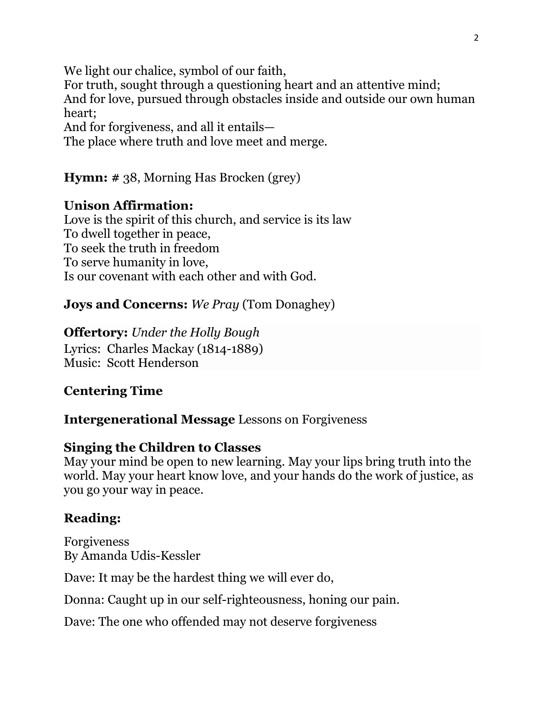We light our chalice, symbol of our faith, For truth, sought through a questioning heart and an attentive mind; And for love, pursued through obstacles inside and outside our own human heart; And for forgiveness, and all it entails— The place where truth and love meet and merge.

**Hymn: #** 38, Morning Has Brocken (grey)

# **Unison Affirmation:**

Love is the spirit of this church, and service is its law To dwell together in peace, To seek the truth in freedom To serve humanity in love, Is our covenant with each other and with God.

**Joys and Concerns:** *We Pray* (Tom Donaghey)

**Offertory:** *Under the Holly Bough* Lyrics: Charles Mackay (1814-1889) Music: Scott Henderson

# **Centering Time**

**Intergenerational Message** Lessons on Forgiveness

### **Singing the Children to Classes**

May your mind be open to new learning. May your lips bring truth into the world. May your heart know love, and your hands do the work of justice, as you go your way in peace.

# **Reading:**

Forgiveness By [Amanda Udis-Kessler](https://www.uua.org/offices/people/amanda-udis-kessler)

Dave: It may be the hardest thing we will ever do,

Donna: Caught up in our self-righteousness, honing our pain.

Dave: The one who offended may not deserve forgiveness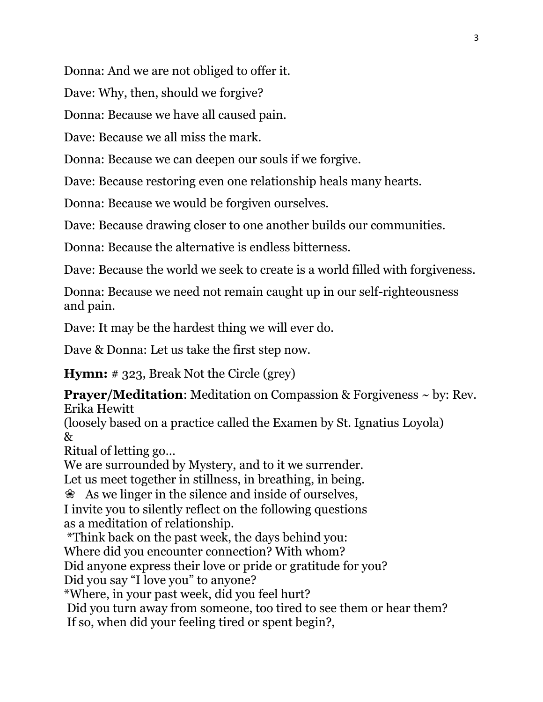Donna: And we are not obliged to offer it.

Dave: Why, then, should we forgive?

Donna: Because we have all caused pain.

Dave: Because we all miss the mark.

Donna: Because we can deepen our souls if we forgive.

Dave: Because restoring even one relationship heals many hearts.

Donna: Because we would be forgiven ourselves.

Dave: Because drawing closer to one another builds our communities.

Donna: Because the alternative is endless bitterness.

Dave: Because the world we seek to create is a world filled with forgiveness.

Donna: Because we need not remain caught up in our self-righteousness and pain.

Dave: It may be the hardest thing we will ever do.

Dave & Donna: Let us take the first step now.

**Hymn:** # 323, Break Not the Circle (grey)

**Prayer/Meditation:** Meditation on Compassion & Forgiveness  $\sim$  by: Rev. Erika Hewitt

(loosely based on a practice called the Examen by St. Ignatius Loyola) &

Ritual of letting go…

We are surrounded by Mystery, and to it we surrender.

Let us meet together in stillness, in breathing, in being.

❀ As we linger in the silence and inside of ourselves,

I invite you to silently reflect on the following questions as a meditation of relationship.

\*Think back on the past week, the days behind you:

Where did you encounter connection? With whom?

Did anyone express their love or pride or gratitude for you?

Did you say "I love you" to anyone?

\*Where, in your past week, did you feel hurt?

Did you turn away from someone, too tired to see them or hear them? If so, when did your feeling tired or spent begin?,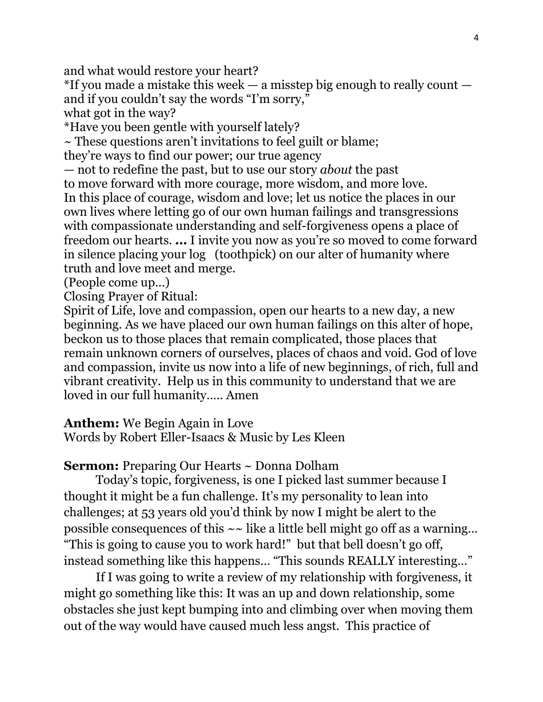and what would restore your heart?

 $*$ If you made a mistake this week — a misstep big enough to really count and if you couldn't say the words "I'm sorry,"

what got in the way?

\*Have you been gentle with yourself lately?

 $\sim$  These questions aren't invitations to feel guilt or blame;

they're ways to find our power; our true agency

— not to redefine the past, but to use our story *about* the past to move forward with more courage, more wisdom, and more love. In this place of courage, wisdom and love; let us notice the places in our own lives where letting go of our own human failings and transgressions with compassionate understanding and self-forgiveness opens a place of freedom our hearts. **...** I invite you now as you're so moved to come forward in silence placing your log (toothpick) on our alter of humanity where truth and love meet and merge.

(People come up…)

Closing Prayer of Ritual:

Spirit of Life, love and compassion, open our hearts to a new day, a new beginning. As we have placed our own human failings on this alter of hope, beckon us to those places that remain complicated, those places that remain unknown corners of ourselves, places of chaos and void. God of love and compassion, invite us now into a life of new beginnings, of rich, full and vibrant creativity. Help us in this community to understand that we are loved in our full humanity….. Amen

**Anthem:** We Begin Again in Love

Words by Robert Eller-Isaacs & Music by Les Kleen

**Sermon:** Preparing Our Hearts ~ Donna Dolham

Today's topic, forgiveness, is one I picked last summer because I thought it might be a fun challenge. It's my personality to lean into challenges; at 53 years old you'd think by now I might be alert to the possible consequences of this  $\sim$  like a little bell might go off as a warning... "This is going to cause you to work hard!" but that bell doesn't go off, instead something like this happens… "This sounds REALLY interesting…"

If I was going to write a review of my relationship with forgiveness, it might go something like this: It was an up and down relationship, some obstacles she just kept bumping into and climbing over when moving them out of the way would have caused much less angst. This practice of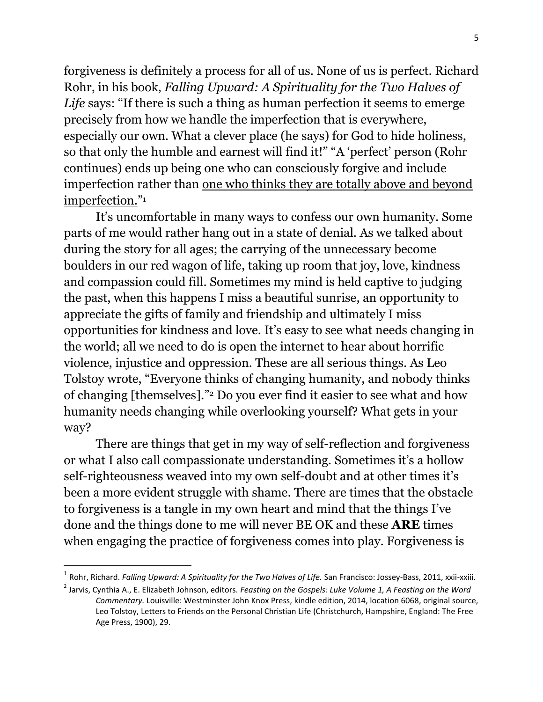forgiveness is definitely a process for all of us. None of us is perfect. Richard Rohr, in his book, *Falling Upward: A Spirituality for the Two Halves of Life* says: "If there is such a thing as human perfection it seems to emerge precisely from how we handle the imperfection that is everywhere, especially our own. What a clever place (he says) for God to hide holiness, so that only the humble and earnest will find it!" "A 'perfect' person (Rohr continues) ends up being one who can consciously forgive and include imperfection rather than one who thinks they are totally above and beyond imperfection." 1

It's uncomfortable in many ways to confess our own humanity. Some parts of me would rather hang out in a state of denial. As we talked about during the story for all ages; the carrying of the unnecessary become boulders in our red wagon of life, taking up room that joy, love, kindness and compassion could fill. Sometimes my mind is held captive to judging the past, when this happens I miss a beautiful sunrise, an opportunity to appreciate the gifts of family and friendship and ultimately I miss opportunities for kindness and love. It's easy to see what needs changing in the world; all we need to do is open the internet to hear about horrific violence, injustice and oppression. These are all serious things. As Leo Tolstoy wrote, "Everyone thinks of changing humanity, and nobody thinks of changing [themselves]."<sup>2</sup> Do you ever find it easier to see what and how humanity needs changing while overlooking yourself? What gets in your way?

There are things that get in my way of self-reflection and forgiveness or what I also call compassionate understanding. Sometimes it's a hollow self-righteousness weaved into my own self-doubt and at other times it's been a more evident struggle with shame. There are times that the obstacle to forgiveness is a tangle in my own heart and mind that the things I've done and the things done to me will never BE OK and these **ARE** times when engaging the practice of forgiveness comes into play. Forgiveness is

 $\overline{\phantom{a}}$ 

<sup>1</sup> Rohr, Richard. *Falling Upward: A Spirituality for the Two Halves of Life.* San Francisco: Jossey-Bass, 2011, xxii-xxiii.

<sup>2</sup> Jarvis, Cynthia A., E. Elizabeth Johnson, editors. *Feasting on the Gospels: Luke Volume 1, A Feasting on the Word Commentary.* Louisville: Westminster John Knox Press, kindle edition, 2014, location 6068, original source, Leo Tolstoy, Letters to Friends on the Personal Christian Life (Christchurch, Hampshire, England: The Free Age Press, 1900), 29.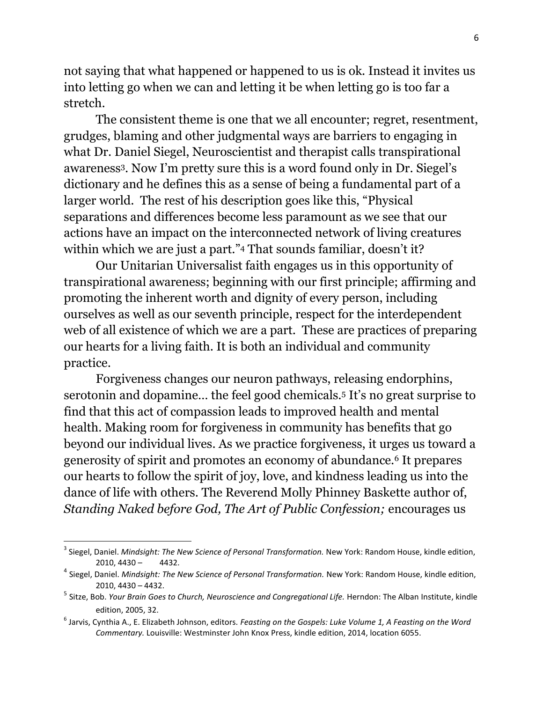not saying that what happened or happened to us is ok. Instead it invites us into letting go when we can and letting it be when letting go is too far a stretch.

The consistent theme is one that we all encounter; regret, resentment, grudges, blaming and other judgmental ways are barriers to engaging in what Dr. Daniel Siegel, Neuroscientist and therapist calls transpirational awareness3. Now I'm pretty sure this is a word found only in Dr. Siegel's dictionary and he defines this as a sense of being a fundamental part of a larger world. The rest of his description goes like this, "Physical separations and differences become less paramount as we see that our actions have an impact on the interconnected network of living creatures within which we are just a part."<sup>4</sup> That sounds familiar, doesn't it?

Our Unitarian Universalist faith engages us in this opportunity of transpirational awareness; beginning with our first principle; affirming and promoting the inherent worth and dignity of every person, including ourselves as well as our seventh principle, respect for the interdependent web of all existence of which we are a part. These are practices of preparing our hearts for a living faith. It is both an individual and community practice.

Forgiveness changes our neuron pathways, releasing endorphins, serotonin and dopamine… the feel good chemicals.<sup>5</sup> It's no great surprise to find that this act of compassion leads to improved health and mental health. Making room for forgiveness in community has benefits that go beyond our individual lives. As we practice forgiveness, it urges us toward a generosity of spirit and promotes an economy of abundance.<sup>6</sup> It prepares our hearts to follow the spirit of joy, love, and kindness leading us into the dance of life with others. The Reverend Molly Phinney Baskette author of, *Standing Naked before God, The Art of Public Confession;* encourages us

 $\overline{\phantom{a}}$ 

<sup>3</sup> Siegel, Daniel. *Mindsight: The New Science of Personal Transformation.* New York: Random House, kindle edition,  $2010, 4430 - 4432.$ 

<sup>4</sup> Siegel, Daniel. *Mindsight: The New Science of Personal Transformation.* New York: Random House, kindle edition, 2010, 4430 – 4432.

<sup>5</sup> Sitze, Bob. *Your Brain Goes to Church, Neuroscience and Congregational Life.* Herndon: The Alban Institute, kindle edition, 2005, 32.

<sup>6</sup> Jarvis, Cynthia A., E. Elizabeth Johnson, editors. *Feasting on the Gospels: Luke Volume 1, A Feasting on the Word Commentary.* Louisville: Westminster John Knox Press, kindle edition, 2014, location 6055.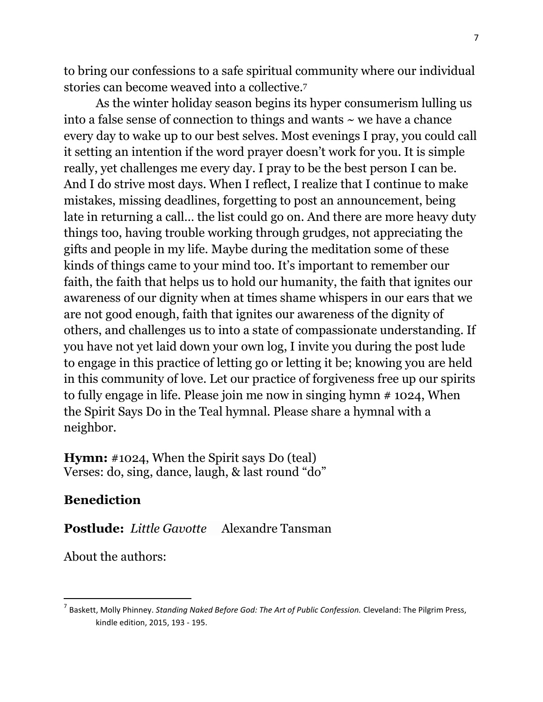to bring our confessions to a safe spiritual community where our individual stories can become weaved into a collective.<sup>7</sup>

As the winter holiday season begins its hyper consumerism lulling us into a false sense of connection to things and wants  $\sim$  we have a chance every day to wake up to our best selves. Most evenings I pray, you could call it setting an intention if the word prayer doesn't work for you. It is simple really, yet challenges me every day. I pray to be the best person I can be. And I do strive most days. When I reflect, I realize that I continue to make mistakes, missing deadlines, forgetting to post an announcement, being late in returning a call… the list could go on. And there are more heavy duty things too, having trouble working through grudges, not appreciating the gifts and people in my life. Maybe during the meditation some of these kinds of things came to your mind too. It's important to remember our faith, the faith that helps us to hold our humanity, the faith that ignites our awareness of our dignity when at times shame whispers in our ears that we are not good enough, faith that ignites our awareness of the dignity of others, and challenges us to into a state of compassionate understanding. If you have not yet laid down your own log, I invite you during the post lude to engage in this practice of letting go or letting it be; knowing you are held in this community of love. Let our practice of forgiveness free up our spirits to fully engage in life. Please join me now in singing hymn # 1024, When the Spirit Says Do in the Teal hymnal. Please share a hymnal with a neighbor.

**Hymn:** #1024, When the Spirit says Do (teal) Verses: do, sing, dance, laugh, & last round "do"

# **Benediction**

 $\overline{\phantom{a}}$ 

**Postlude:** *Little Gavotte* Alexandre Tansman

About the authors:

<sup>7</sup> Baskett, Molly Phinney. *Standing Naked Before God: The Art of Public Confession.* Cleveland: The Pilgrim Press, kindle edition, 2015, 193 - 195.